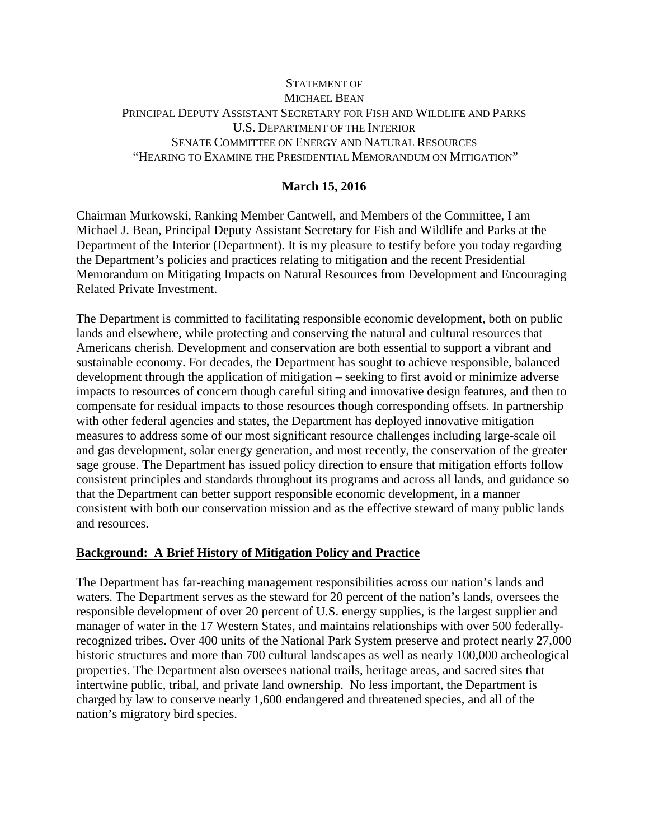### STATEMENT OF MICHAEL BEAN PRINCIPAL DEPUTY ASSISTANT SECRETARY FOR FISH AND WILDLIFE AND PARKS U.S. DEPARTMENT OF THE INTERIOR SENATE COMMITTEE ON ENERGY AND NATURAL RESOURCES "HEARING TO EXAMINE THE PRESIDENTIAL MEMORANDUM ON MITIGATION"

# **March 15, 2016**

Chairman Murkowski, Ranking Member Cantwell, and Members of the Committee, I am Michael J. Bean, Principal Deputy Assistant Secretary for Fish and Wildlife and Parks at the Department of the Interior (Department). It is my pleasure to testify before you today regarding the Department's policies and practices relating to mitigation and the recent Presidential Memorandum on Mitigating Impacts on Natural Resources from Development and Encouraging Related Private Investment.

The Department is committed to facilitating responsible economic development, both on public lands and elsewhere, while protecting and conserving the natural and cultural resources that Americans cherish. Development and conservation are both essential to support a vibrant and sustainable economy. For decades, the Department has sought to achieve responsible, balanced development through the application of mitigation – seeking to first avoid or minimize adverse impacts to resources of concern though careful siting and innovative design features, and then to compensate for residual impacts to those resources though corresponding offsets. In partnership with other federal agencies and states, the Department has deployed innovative mitigation measures to address some of our most significant resource challenges including large-scale oil and gas development, solar energy generation, and most recently, the conservation of the greater sage grouse. The Department has issued policy direction to ensure that mitigation efforts follow consistent principles and standards throughout its programs and across all lands, and guidance so that the Department can better support responsible economic development, in a manner consistent with both our conservation mission and as the effective steward of many public lands and resources.

#### **Background: A Brief History of Mitigation Policy and Practice**

The Department has far-reaching management responsibilities across our nation's lands and waters. The Department serves as the steward for 20 percent of the nation's lands, oversees the responsible development of over 20 percent of U.S. energy supplies, is the largest supplier and manager of water in the 17 Western States, and maintains relationships with over 500 federallyrecognized tribes. Over 400 units of the National Park System preserve and protect nearly 27,000 historic structures and more than 700 cultural landscapes as well as nearly 100,000 archeological properties. The Department also oversees national trails, heritage areas, and sacred sites that intertwine public, tribal, and private land ownership. No less important, the Department is charged by law to conserve nearly 1,600 endangered and threatened species, and all of the nation's migratory bird species.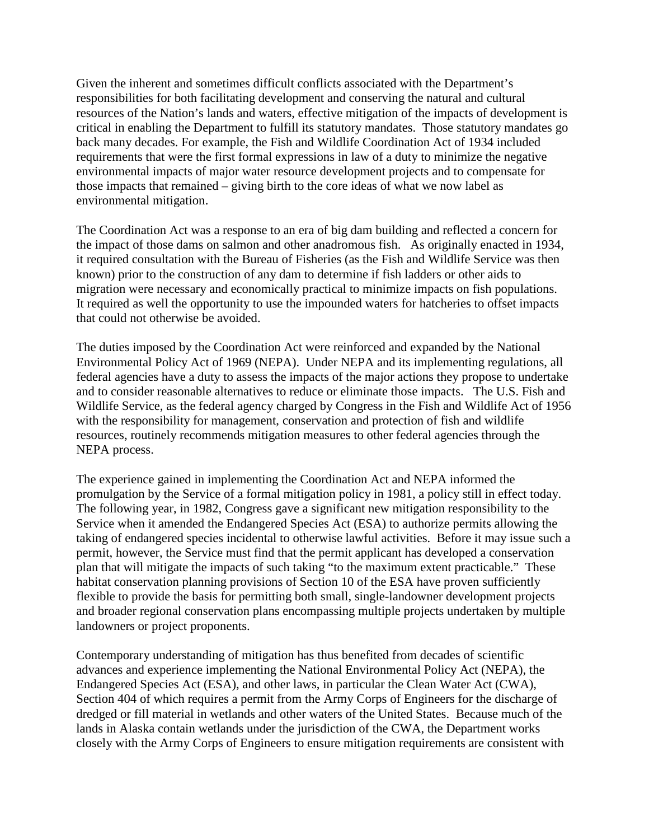Given the inherent and sometimes difficult conflicts associated with the Department's responsibilities for both facilitating development and conserving the natural and cultural resources of the Nation's lands and waters, effective mitigation of the impacts of development is critical in enabling the Department to fulfill its statutory mandates. Those statutory mandates go back many decades. For example, the Fish and Wildlife Coordination Act of 1934 included requirements that were the first formal expressions in law of a duty to minimize the negative environmental impacts of major water resource development projects and to compensate for those impacts that remained – giving birth to the core ideas of what we now label as environmental mitigation.

The Coordination Act was a response to an era of big dam building and reflected a concern for the impact of those dams on salmon and other anadromous fish. As originally enacted in 1934, it required consultation with the Bureau of Fisheries (as the Fish and Wildlife Service was then known) prior to the construction of any dam to determine if fish ladders or other aids to migration were necessary and economically practical to minimize impacts on fish populations. It required as well the opportunity to use the impounded waters for hatcheries to offset impacts that could not otherwise be avoided.

The duties imposed by the Coordination Act were reinforced and expanded by the National Environmental Policy Act of 1969 (NEPA). Under NEPA and its implementing regulations, all federal agencies have a duty to assess the impacts of the major actions they propose to undertake and to consider reasonable alternatives to reduce or eliminate those impacts. The U.S. Fish and Wildlife Service, as the federal agency charged by Congress in the Fish and Wildlife Act of 1956 with the responsibility for management, conservation and protection of fish and wildlife resources, routinely recommends mitigation measures to other federal agencies through the NEPA process.

The experience gained in implementing the Coordination Act and NEPA informed the promulgation by the Service of a formal mitigation policy in 1981, a policy still in effect today. The following year, in 1982, Congress gave a significant new mitigation responsibility to the Service when it amended the Endangered Species Act (ESA) to authorize permits allowing the taking of endangered species incidental to otherwise lawful activities. Before it may issue such a permit, however, the Service must find that the permit applicant has developed a conservation plan that will mitigate the impacts of such taking "to the maximum extent practicable." These habitat conservation planning provisions of Section 10 of the ESA have proven sufficiently flexible to provide the basis for permitting both small, single-landowner development projects and broader regional conservation plans encompassing multiple projects undertaken by multiple landowners or project proponents.

Contemporary understanding of mitigation has thus benefited from decades of scientific advances and experience implementing the National Environmental Policy Act (NEPA), the Endangered Species Act (ESA), and other laws, in particular the Clean Water Act (CWA), Section 404 of which requires a permit from the Army Corps of Engineers for the discharge of dredged or fill material in wetlands and other waters of the United States. Because much of the lands in Alaska contain wetlands under the jurisdiction of the CWA, the Department works closely with the Army Corps of Engineers to ensure mitigation requirements are consistent with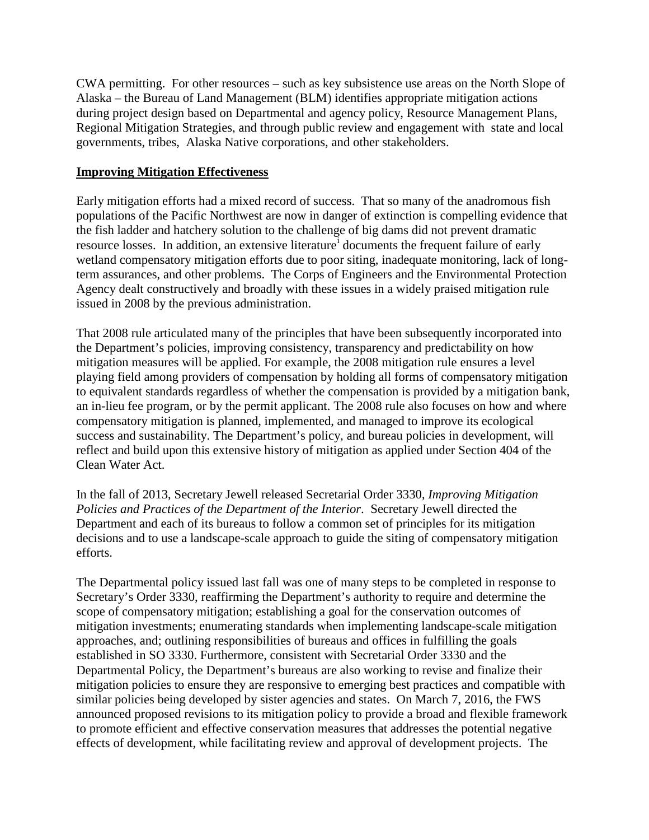CWA permitting. For other resources – such as key subsistence use areas on the North Slope of Alaska – the Bureau of Land Management (BLM) identifies appropriate mitigation actions during project design based on Departmental and agency policy, Resource Management Plans, Regional Mitigation Strategies, and through public review and engagement with state and local governments, tribes, Alaska Native corporations, and other stakeholders.

### **Improving Mitigation Effectiveness**

Early mitigation efforts had a mixed record of success. That so many of the anadromous fish populations of the Pacific Northwest are now in danger of extinction is compelling evidence that the fish ladder and hatchery solution to the challenge of big dams did not prevent dramatic resource losses. In add[i](#page-6-0)tion, an extensive literature<sup>1</sup> documents the frequent failure of early wetland compensatory mitigation efforts due to poor siting, inadequate monitoring, lack of longterm assurances, and other problems. The Corps of Engineers and the Environmental Protection Agency dealt constructively and broadly with these issues in a widely praised mitigation rule issued in 2008 by the previous administration.

That 2008 rule articulated many of the principles that have been subsequently incorporated into the Department's policies, improving consistency, transparency and predictability on how mitigation measures will be applied. For example, the 2008 mitigation rule ensures a level playing field among providers of compensation by holding all forms of compensatory mitigation to equivalent standards regardless of whether the compensation is provided by a mitigation bank, an in-lieu fee program, or by the permit applicant. The 2008 rule also focuses on how and where compensatory mitigation is planned, implemented, and managed to improve its ecological success and sustainability. The Department's policy, and bureau policies in development, will reflect and build upon this extensive history of mitigation as applied under Section 404 of the Clean Water Act.

In the fall of 2013, Secretary Jewell released Secretarial Order 3330, *Improving Mitigation Policies and Practices of the Department of the Interior*. Secretary Jewell directed the Department and each of its bureaus to follow a common set of principles for its mitigation decisions and to use a landscape-scale approach to guide the siting of compensatory mitigation efforts.

The Departmental policy issued last fall was one of many steps to be completed in response to Secretary's Order 3330, reaffirming the Department's authority to require and determine the scope of compensatory mitigation; establishing a goal for the conservation outcomes of mitigation investments; enumerating standards when implementing landscape-scale mitigation approaches, and; outlining responsibilities of bureaus and offices in fulfilling the goals established in SO 3330. Furthermore, consistent with Secretarial Order 3330 and the Departmental Policy, the Department's bureaus are also working to revise and finalize their mitigation policies to ensure they are responsive to emerging best practices and compatible with similar policies being developed by sister agencies and states. On March 7, 2016, the FWS announced proposed revisions to its mitigation policy to provide a broad and flexible framework to promote efficient and effective conservation measures that addresses the potential negative effects of development, while facilitating review and approval of development projects. The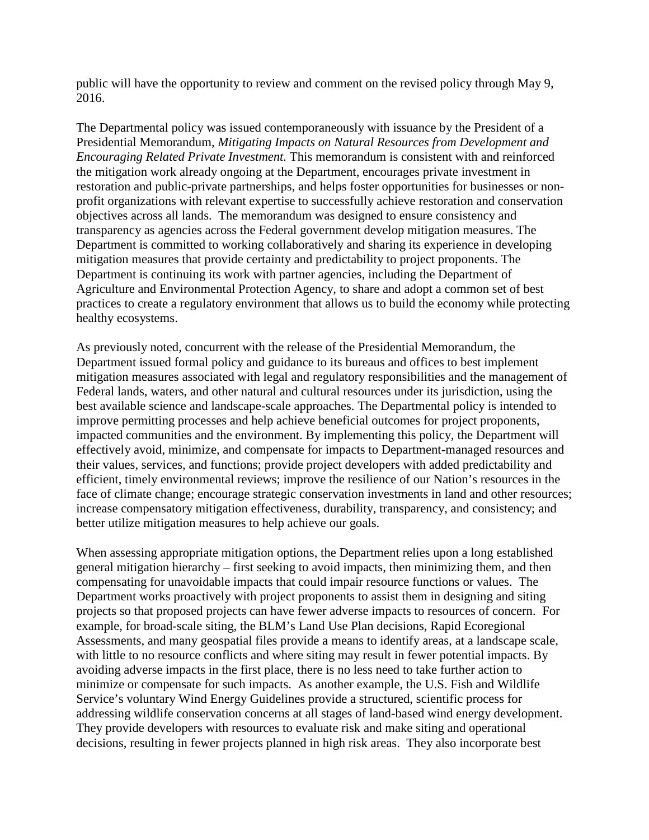public will have the opportunity to review and comment on the revised policy through May 9, 2016.

The Departmental policy was issued contemporaneously with issuance by the President of a Presidential Memorandum, *Mitigating Impacts on Natural Resources from Development and Encouraging Related Private Investment.* This memorandum is consistent with and reinforced the mitigation work already ongoing at the Department, encourages private investment in restoration and public-private partnerships, and helps foster opportunities for businesses or nonprofit organizations with relevant expertise to successfully achieve restoration and conservation objectives across all lands. The memorandum was designed to ensure consistency and transparency as agencies across the Federal government develop mitigation measures. The Department is committed to working collaboratively and sharing its experience in developing mitigation measures that provide certainty and predictability to project proponents. The Department is continuing its work with partner agencies, including the Department of Agriculture and Environmental Protection Agency, to share and adopt a common set of best practices to create a regulatory environment that allows us to build the economy while protecting healthy ecosystems.

As previously noted, concurrent with the release of the Presidential Memorandum, the Department issued formal policy and guidance to its bureaus and offices to best implement mitigation measures associated with legal and regulatory responsibilities and the management of Federal lands, waters, and other natural and cultural resources under its jurisdiction, using the best available science and landscape-scale approaches. The Departmental policy is intended to improve permitting processes and help achieve beneficial outcomes for project proponents, impacted communities and the environment. By implementing this policy, the Department will effectively avoid, minimize, and compensate for impacts to Department-managed resources and their values, services, and functions; provide project developers with added predictability and efficient, timely environmental reviews; improve the resilience of our Nation's resources in the face of climate change; encourage strategic conservation investments in land and other resources; increase compensatory mitigation effectiveness, durability, transparency, and consistency; and better utilize mitigation measures to help achieve our goals.

When assessing appropriate mitigation options, the Department relies upon a long established general mitigation hierarchy – first seeking to avoid impacts, then minimizing them, and then compensating for unavoidable impacts that could impair resource functions or values. The Department works proactively with project proponents to assist them in designing and siting projects so that proposed projects can have fewer adverse impacts to resources of concern. For example, for broad-scale siting, the BLM's Land Use Plan decisions, Rapid Ecoregional Assessments, and many geospatial files provide a means to identify areas, at a landscape scale, with little to no resource conflicts and where siting may result in fewer potential impacts. By avoiding adverse impacts in the first place, there is no less need to take further action to minimize or compensate for such impacts. As another example, the U.S. Fish and Wildlife Service's voluntary Wind Energy Guidelines provide a structured, scientific process for addressing wildlife conservation concerns at all stages of land-based wind energy development. They provide developers with resources to evaluate risk and make siting and operational decisions, resulting in fewer projects planned in high risk areas. They also incorporate best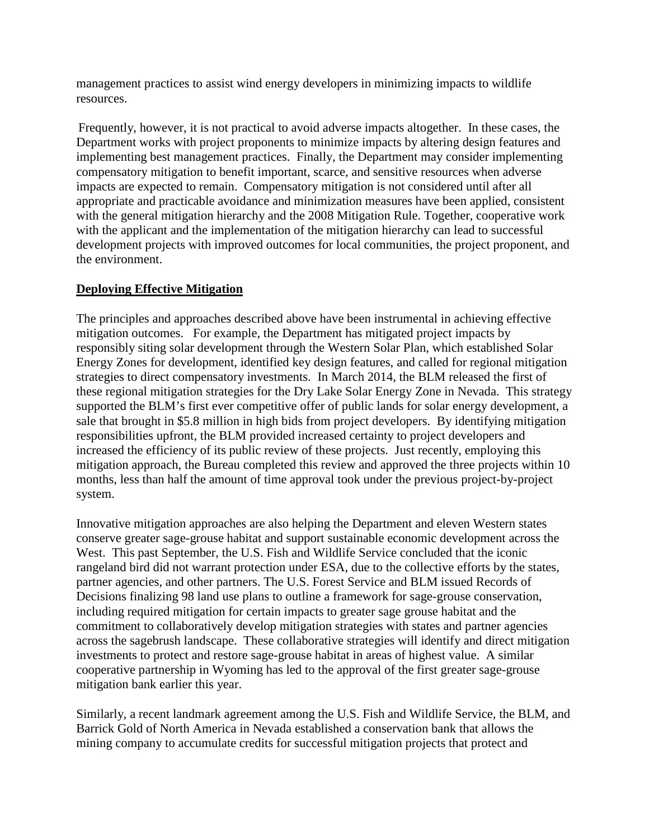management practices to assist wind energy developers in minimizing impacts to wildlife resources.

Frequently, however, it is not practical to avoid adverse impacts altogether. In these cases, the Department works with project proponents to minimize impacts by altering design features and implementing best management practices. Finally, the Department may consider implementing compensatory mitigation to benefit important, scarce, and sensitive resources when adverse impacts are expected to remain. Compensatory mitigation is not considered until after all appropriate and practicable avoidance and minimization measures have been applied, consistent with the general mitigation hierarchy and the 2008 Mitigation Rule. Together, cooperative work with the applicant and the implementation of the mitigation hierarchy can lead to successful development projects with improved outcomes for local communities, the project proponent, and the environment.

#### **Deploying Effective Mitigation**

The principles and approaches described above have been instrumental in achieving effective mitigation outcomes. For example, the Department has mitigated project impacts by responsibly siting solar development through the Western Solar Plan, which established Solar Energy Zones for development, identified key design features, and called for regional mitigation strategies to direct compensatory investments. In March 2014, the BLM released the first of these regional mitigation strategies for the Dry Lake Solar Energy Zone in Nevada. This strategy supported the BLM's first ever competitive offer of public lands for solar energy development, a sale that brought in \$5.8 million in high bids from project developers. By identifying mitigation responsibilities upfront, the BLM provided increased certainty to project developers and increased the efficiency of its public review of these projects. Just recently, employing this mitigation approach, the Bureau completed this review and approved the three projects within 10 months, less than half the amount of time approval took under the previous project-by-project system.

Innovative mitigation approaches are also helping the Department and eleven Western states conserve greater sage-grouse habitat and support sustainable economic development across the West. This past September, the U.S. Fish and Wildlife Service concluded that the iconic rangeland bird did not warrant protection under ESA, due to the collective efforts by the states, partner agencies, and other partners. The U.S. Forest Service and BLM issued Records of Decisions finalizing 98 land use plans to outline a framework for sage-grouse conservation, including required mitigation for certain impacts to greater sage grouse habitat and the commitment to collaboratively develop mitigation strategies with states and partner agencies across the sagebrush landscape. These collaborative strategies will identify and direct mitigation investments to protect and restore sage-grouse habitat in areas of highest value. A similar cooperative partnership in Wyoming has led to the approval of the first greater sage-grouse mitigation bank earlier this year.

Similarly, a recent landmark agreement among the U.S. Fish and Wildlife Service, the BLM, and Barrick Gold of North America in Nevada established a conservation bank that allows the mining company to accumulate credits for successful mitigation projects that protect and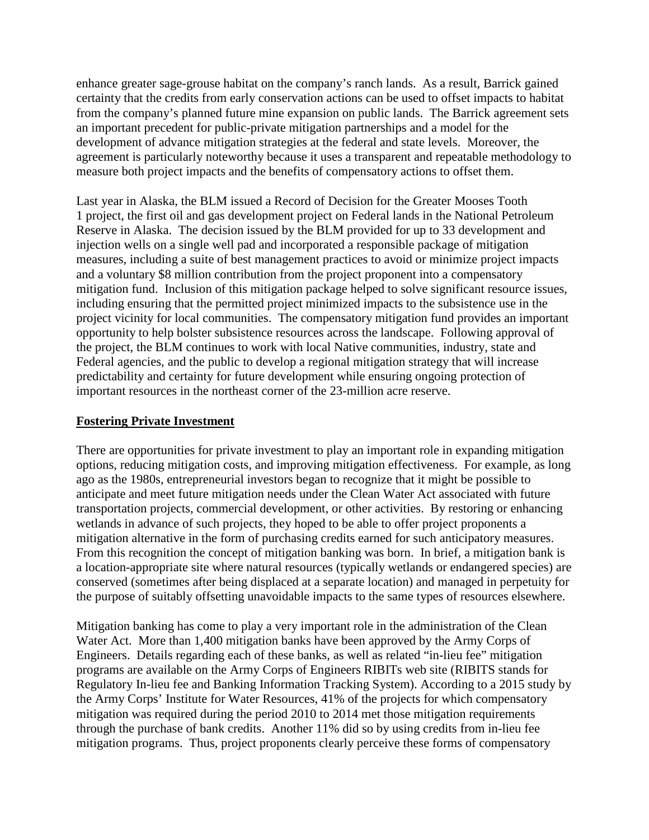enhance greater sage-grouse habitat on the company's ranch lands. As a result, Barrick gained certainty that the credits from early conservation actions can be used to offset impacts to habitat from the company's planned future mine expansion on public lands. The Barrick agreement sets an important precedent for public-private mitigation partnerships and a model for the development of advance mitigation strategies at the federal and state levels. Moreover, the agreement is particularly noteworthy because it uses a transparent and repeatable methodology to measure both project impacts and the benefits of compensatory actions to offset them.

Last year in Alaska, the BLM issued a Record of Decision for the Greater Mooses Tooth 1 project, the first oil and gas development project on Federal lands in the National Petroleum Reserve in Alaska. The decision issued by the BLM provided for up to 33 development and injection wells on a single well pad and incorporated a responsible package of mitigation measures, including a suite of best management practices to avoid or minimize project impacts and a voluntary \$8 million contribution from the project proponent into a compensatory mitigation fund. Inclusion of this mitigation package helped to solve significant resource issues, including ensuring that the permitted project minimized impacts to the subsistence use in the project vicinity for local communities. The compensatory mitigation fund provides an important opportunity to help bolster subsistence resources across the landscape. Following approval of the project, the BLM continues to work with local Native communities, industry, state and Federal agencies, and the public to develop a regional mitigation strategy that will increase predictability and certainty for future development while ensuring ongoing protection of important resources in the northeast corner of the 23-million acre reserve.

## **Fostering Private Investment**

There are opportunities for private investment to play an important role in expanding mitigation options, reducing mitigation costs, and improving mitigation effectiveness. For example, as long ago as the 1980s, entrepreneurial investors began to recognize that it might be possible to anticipate and meet future mitigation needs under the Clean Water Act associated with future transportation projects, commercial development, or other activities. By restoring or enhancing wetlands in advance of such projects, they hoped to be able to offer project proponents a mitigation alternative in the form of purchasing credits earned for such anticipatory measures. From this recognition the concept of mitigation banking was born. In brief, a mitigation bank is a location-appropriate site where natural resources (typically wetlands or endangered species) are conserved (sometimes after being displaced at a separate location) and managed in perpetuity for the purpose of suitably offsetting unavoidable impacts to the same types of resources elsewhere.

Mitigation banking has come to play a very important role in the administration of the Clean Water Act. More than 1,400 mitigation banks have been approved by the Army Corps of Engineers. Details regarding each of these banks, as well as related "in-lieu fee" mitigation programs are available on the Army Corps of Engineers RIBITs web site (RIBITS stands for Regulatory In-lieu fee and Banking Information Tracking System). According to a 2015 study by the Army Corps' Institute for Water Resources, 41% of the projects for which compensatory mitigation was required during the period 2010 to 2014 met those mitigation requirements through the purchase of bank credits. Another 11% did so by using credits from in-lieu fee mitigation programs. Thus, project proponents clearly perceive these forms of compensatory